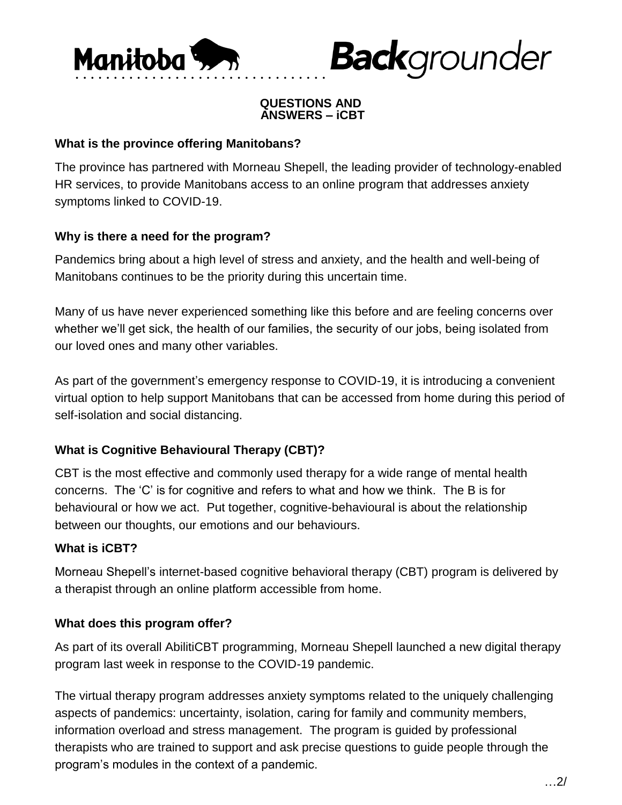

#### **QUESTIONS AND ANSWERS – iCBT**

**Back**grounder

#### **What is the province offering Manitobans?**

The province has partnered with Morneau Shepell, the leading provider of technology-enabled HR services, to provide Manitobans access to an online program that addresses anxiety symptoms linked to COVID-19.

#### **Why is there a need for the program?**

Pandemics bring about a high level of stress and anxiety, and the health and well-being of Manitobans continues to be the priority during this uncertain time.

Many of us have never experienced something like this before and are feeling concerns over whether we'll get sick, the health of our families, the security of our jobs, being isolated from our loved ones and many other variables.

As part of the government's emergency response to COVID-19, it is introducing a convenient virtual option to help support Manitobans that can be accessed from home during this period of self-isolation and social distancing.

# **What is Cognitive Behavioural Therapy (CBT)?**

CBT is the most effective and commonly used therapy for a wide range of mental health concerns. The 'C' is for cognitive and refers to what and how we think. The B is for behavioural or how we act. Put together, cognitive-behavioural is about the relationship between our thoughts, our emotions and our behaviours.

# **What is iCBT?**

Morneau Shepell's internet-based cognitive behavioral therapy (CBT) program is delivered by a therapist through an online platform accessible from home.

# **What does this program offer?**

As part of its overall AbilitiCBT programming, Morneau Shepell launched a new digital therapy program last week in response to the COVID-19 pandemic.

The virtual therapy program addresses anxiety symptoms related to the uniquely challenging aspects of pandemics: uncertainty, isolation, caring for family and community members, information overload and stress management. The program is guided by professional therapists who are trained to support and ask precise questions to guide people through the program's modules in the context of a pandemic.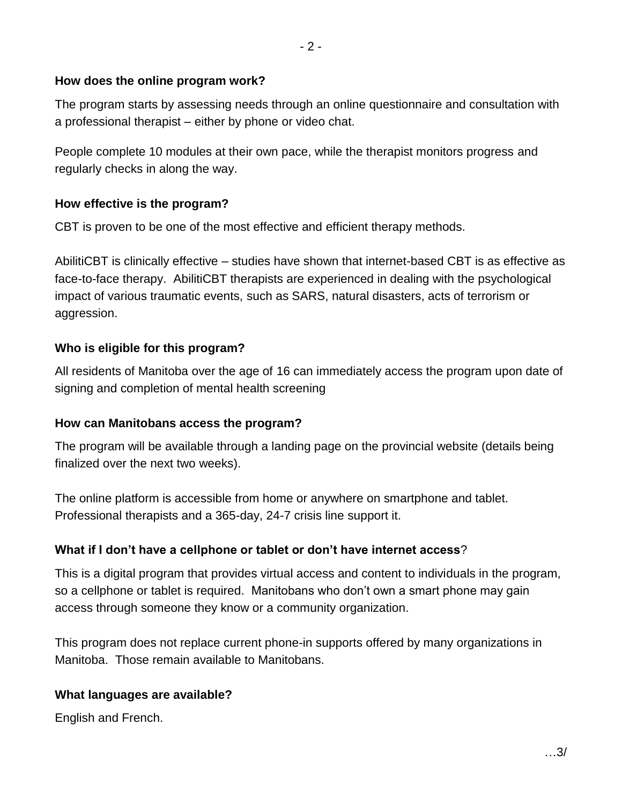#### **How does the online program work?**

The program starts by assessing needs through an online questionnaire and consultation with a professional therapist – either by phone or video chat.

People complete 10 modules at their own pace, while the therapist monitors progress and regularly checks in along the way.

# **How effective is the program?**

CBT is proven to be one of the most effective and efficient therapy methods.

AbilitiCBT is clinically effective – studies have shown that internet-based CBT is as effective as face-to-face therapy. AbilitiCBT therapists are experienced in dealing with the psychological impact of various traumatic events, such as SARS, natural disasters, acts of terrorism or aggression.

# **Who is eligible for this program?**

All residents of Manitoba over the age of 16 can immediately access the program upon date of signing and completion of mental health screening

# **How can Manitobans access the program?**

The program will be available through a landing page on the provincial website (details being finalized over the next two weeks).

The online platform is accessible from home or anywhere on smartphone and tablet. Professional therapists and a 365-day, 24-7 crisis line support it.

# **What if I don't have a cellphone or tablet or don't have internet access**?

This is a digital program that provides virtual access and content to individuals in the program, so a cellphone or tablet is required. Manitobans who don't own a smart phone may gain access through someone they know or a community organization.

This program does not replace current phone-in supports offered by many organizations in Manitoba. Those remain available to Manitobans.

# **What languages are available?**

English and French.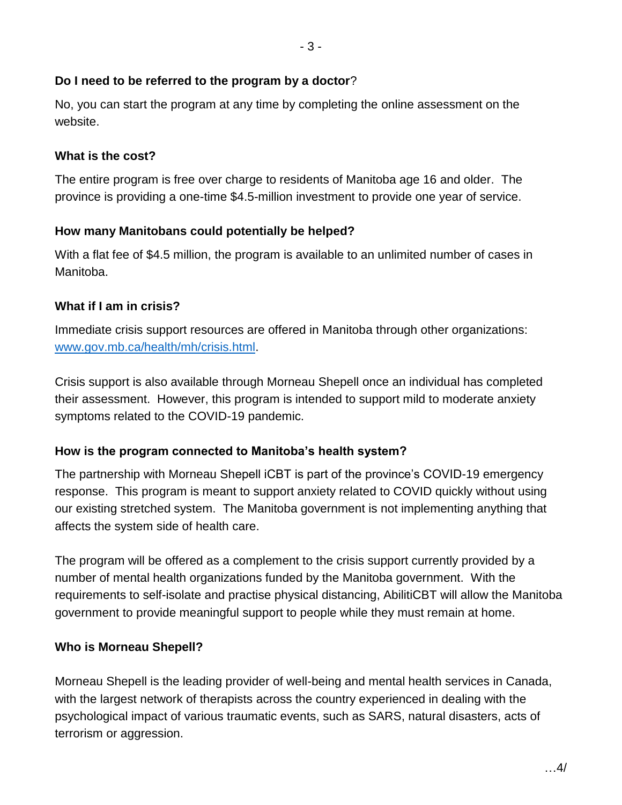#### **Do I need to be referred to the program by a doctor**?

No, you can start the program at any time by completing the online assessment on the website.

#### **What is the cost?**

The entire program is free over charge to residents of Manitoba age 16 and older. The province is providing a one-time \$4.5-million investment to provide one year of service.

#### **How many Manitobans could potentially be helped?**

With a flat fee of \$4.5 million, the program is available to an unlimited number of cases in Manitoba.

# **What if I am in crisis?**

Immediate crisis support resources are offered in Manitoba through other organizations: [www.gov.mb.ca/health/mh/crisis.html.](https://www.gov.mb.ca/health/mh/crisis.html)

Crisis support is also available through Morneau Shepell once an individual has completed their assessment. However, this program is intended to support mild to moderate anxiety symptoms related to the COVID-19 pandemic.

# **How is the program connected to Manitoba's health system?**

The partnership with Morneau Shepell iCBT is part of the province's COVID-19 emergency response. This program is meant to support anxiety related to COVID quickly without using our existing stretched system. The Manitoba government is not implementing anything that affects the system side of health care.

The program will be offered as a complement to the crisis support currently provided by a number of mental health organizations funded by the Manitoba government. With the requirements to self-isolate and practise physical distancing, AbilitiCBT will allow the Manitoba government to provide meaningful support to people while they must remain at home.

#### **Who is Morneau Shepell?**

Morneau Shepell is the leading provider of well-being and mental health services in Canada, with the largest network of therapists across the country experienced in dealing with the psychological impact of various traumatic events, such as SARS, natural disasters, acts of terrorism or aggression.